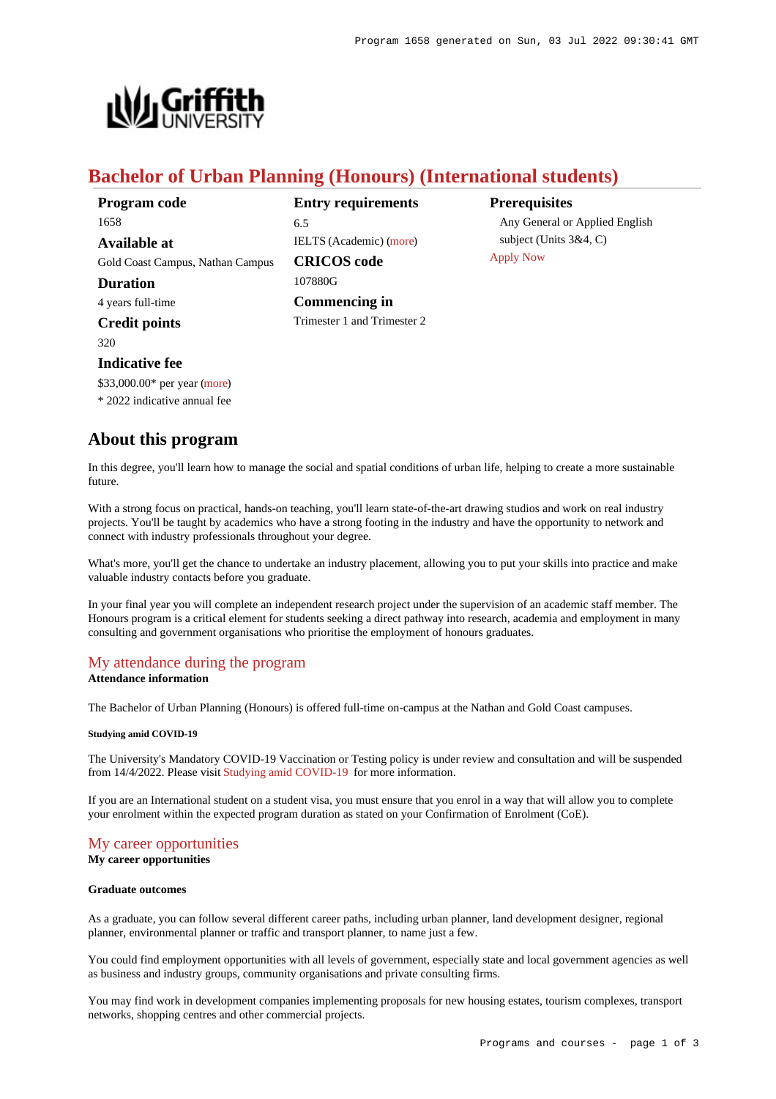

# **Bachelor of Urban Planning (Honours) (International students)**

| Program code                     | <b>Entry requirements</b>      | <b>Prerequisites</b>           |
|----------------------------------|--------------------------------|--------------------------------|
| 1658                             | 6.5                            | Any General or Applied English |
| Available at                     | <b>IELTS</b> (Academic) (more) | subject (Units $3&4, C$ )      |
| Gold Coast Campus, Nathan Campus | <b>CRICOS</b> code             | <b>Apply Now</b>               |
| <b>Duration</b>                  | 107880G                        |                                |
| 4 years full-time                | Commencing in                  |                                |
| <b>Credit points</b>             | Trimester 1 and Trimester 2    |                                |
| 320.                             |                                |                                |

# \$33,000.00\* per year [\(more](https://www148.griffith.edu.au/programs-courses/Program/1658/Overview/International#fees))

**Indicative fee**

\* 2022 indicative annual fee

# **About this program**

In this degree, you'll learn how to manage the social and spatial conditions of urban life, helping to create a more sustainable future.

With a strong focus on practical, hands-on teaching, you'll learn state-of-the-art drawing studios and work on real industry projects. You'll be taught by academics who have a strong footing in the industry and have the opportunity to network and connect with industry professionals throughout your degree.

What's more, you'll get the chance to undertake an industry placement, allowing you to put your skills into practice and make valuable industry contacts before you graduate.

In your final year you will complete an independent research project under the supervision of an academic staff member. The Honours program is a critical element for students seeking a direct pathway into research, academia and employment in many consulting and government organisations who prioritise the employment of honours graduates.

# [My attendance during the program](https://www148.griffith.edu.au/programs-courses/Program/1658/Overview/International#attendance)

# **Attendance information**

The Bachelor of Urban Planning (Honours) is offered full-time on-campus at the Nathan and Gold Coast campuses.

## **Studying amid COVID-19**

The University's Mandatory COVID-19 Vaccination or Testing policy is under review and consultation and will be suspended from 14/4/2022. Please visit [Studying amid COVID-19](https://www.griffith.edu.au/coronavirus/studying-amid-covid-19) for more information.

If you are an International student on a student visa, you must ensure that you enrol in a way that will allow you to complete your enrolment within the expected program duration as stated on your Confirmation of Enrolment (CoE).

## [My career opportunities](https://www148.griffith.edu.au/programs-courses/Program/1658/Overview/International#opportunities)

**My career opportunities**

### **Graduate outcomes**

As a graduate, you can follow several different career paths, including urban planner, land development designer, regional planner, environmental planner or traffic and transport planner, to name just a few.

You could find employment opportunities with all levels of government, especially state and local government agencies as well as business and industry groups, community organisations and private consulting firms.

You may find work in development companies implementing proposals for new housing estates, tourism complexes, transport networks, shopping centres and other commercial projects.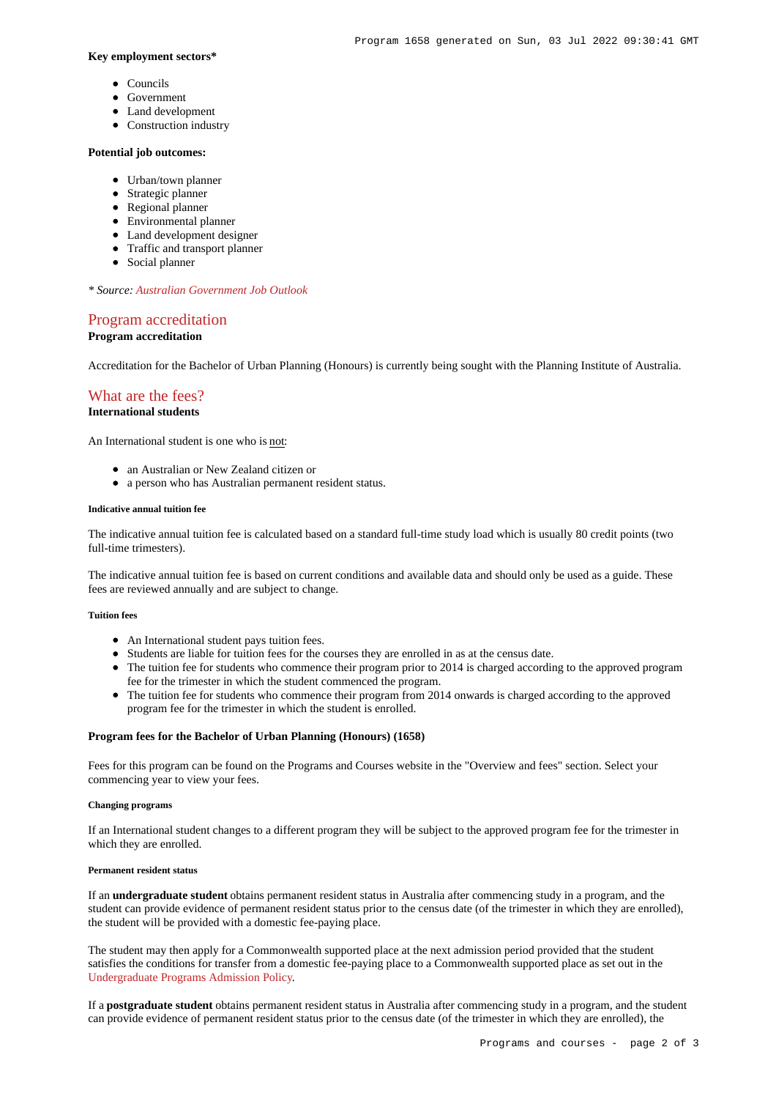### **Key employment sectors\***

- Councils
- Government
- Land development
- Construction industry

### **Potential job outcomes:**

- Urban/town planner
- Strategic planner
- Regional planner
- Environmental planner
- Land development designer
- Traffic and transport planner
- Social planner

*\* Source: [Australian Government Job Outlook](https://joboutlook.gov.au//)*

## [Program accreditation](https://www148.griffith.edu.au/programs-courses/Program/1658/Overview/International#accreditation) **Program accreditation**

Accreditation for the Bachelor of Urban Planning (Honours) is currently being sought with the Planning Institute of Australia.

# [What are the fees?](https://www148.griffith.edu.au/programs-courses/Program/1658/Overview/International#fees)

## **International students**

An International student is one who is not:

- an Australian or New Zealand citizen or
- a person who has Australian permanent resident status.

#### **Indicative annual tuition fee**

The indicative annual tuition fee is calculated based on a standard full-time study load which is usually 80 credit points (two full-time trimesters).

The indicative annual tuition fee is based on current conditions and available data and should only be used as a guide. These fees are reviewed annually and are subject to change.

#### **Tuition fees**

- An International student pays tuition fees.
- Students are liable for tuition fees for the courses they are enrolled in as at the census date.
- The tuition fee for students who commence their program prior to 2014 is charged according to the approved program fee for the trimester in which the student commenced the program.
- The tuition fee for students who commence their program from 2014 onwards is charged according to the approved program fee for the trimester in which the student is enrolled.

### **Program fees for the Bachelor of Urban Planning (Honours) (1658)**

Fees for this program can be found on the Programs and Courses website in the "Overview and fees" section. Select your commencing year to view your fees.

#### **Changing programs**

If an International student changes to a different program they will be subject to the approved program fee for the trimester in which they are enrolled.

#### **Permanent resident status**

If an **undergraduate student** obtains permanent resident status in Australia after commencing study in a program, and the student can provide evidence of permanent resident status prior to the census date (of the trimester in which they are enrolled), the student will be provided with a domestic fee-paying place.

The student may then apply for a Commonwealth supported place at the next admission period provided that the student satisfies the conditions for transfer from a domestic fee-paying place to a Commonwealth supported place as set out in the [Undergraduate Programs Admission Policy](http://policies.griffith.edu.au/pdf/Undergraduate Programs Admission Policy.pdf).

If a **postgraduate student** obtains permanent resident status in Australia after commencing study in a program, and the student can provide evidence of permanent resident status prior to the census date (of the trimester in which they are enrolled), the